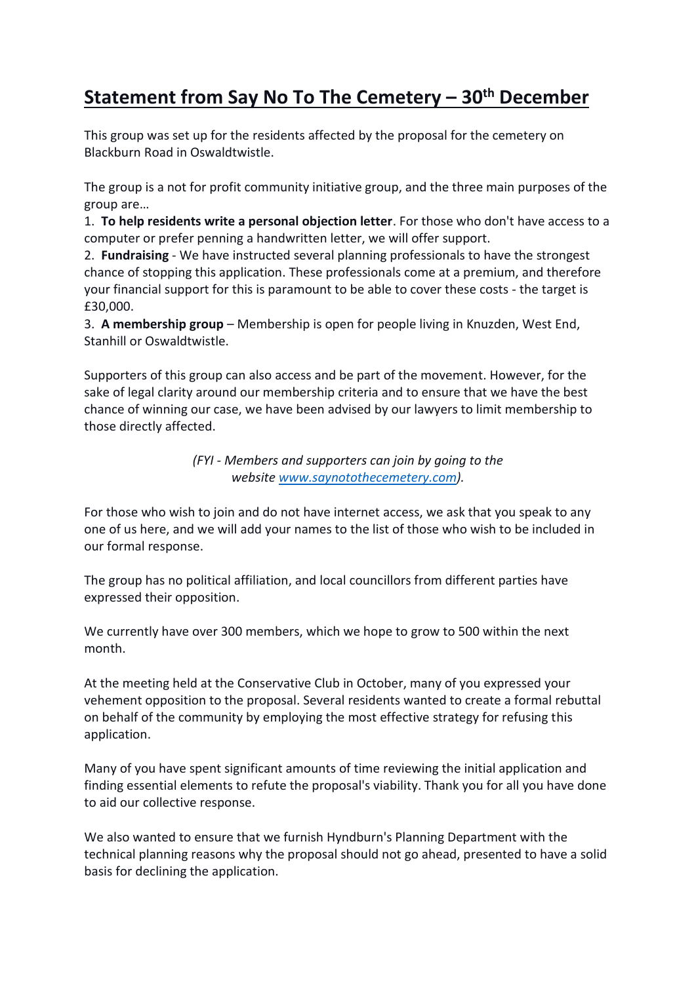# **Statement from Say No To The Cemetery – 30th December**

This group was set up for the residents affected by the proposal for the cemetery on Blackburn Road in Oswaldtwistle.

The group is a not for profit community initiative group, and the three main purposes of the group are…

1. **To help residents write a personal objection letter**. For those who don't have access to a computer or prefer penning a handwritten letter, we will offer support.

2. **Fundraising** - We have instructed several planning professionals to have the strongest chance of stopping this application. These professionals come at a premium, and therefore your financial support for this is paramount to be able to cover these costs - the target is £30,000.

3. **A membership group** – Membership is open for people living in Knuzden, West End, Stanhill or Oswaldtwistle.

Supporters of this group can also access and be part of the movement. However, for the sake of legal clarity around our membership criteria and to ensure that we have the best chance of winning our case, we have been advised by our lawyers to limit membership to those directly affected.

> *(FYI - Members and supporters can join by going to the website [www.saynotothecemetery.com\)](http://www.saynotothecemetery.com/).*

For those who wish to join and do not have internet access, we ask that you speak to any one of us here, and we will add your names to the list of those who wish to be included in our formal response.

The group has no political affiliation, and local councillors from different parties have expressed their opposition.

We currently have over 300 members, which we hope to grow to 500 within the next month.

At the meeting held at the Conservative Club in October, many of you expressed your vehement opposition to the proposal. Several residents wanted to create a formal rebuttal on behalf of the community by employing the most effective strategy for refusing this application.

Many of you have spent significant amounts of time reviewing the initial application and finding essential elements to refute the proposal's viability. Thank you for all you have done to aid our collective response.

We also wanted to ensure that we furnish Hyndburn's Planning Department with the technical planning reasons why the proposal should not go ahead, presented to have a solid basis for declining the application.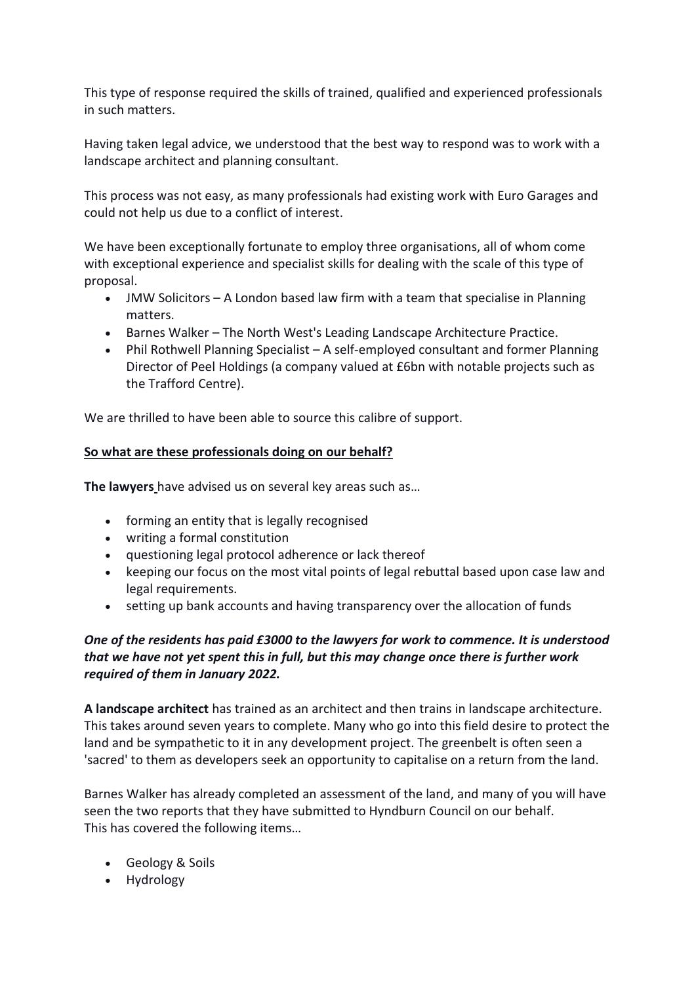This type of response required the skills of trained, qualified and experienced professionals in such matters.

Having taken legal advice, we understood that the best way to respond was to work with a landscape architect and planning consultant.

This process was not easy, as many professionals had existing work with Euro Garages and could not help us due to a conflict of interest.

We have been exceptionally fortunate to employ three organisations, all of whom come with exceptional experience and specialist skills for dealing with the scale of this type of proposal.

- JMW Solicitors A London based law firm with a team that specialise in Planning matters.
- Barnes Walker The North West's Leading Landscape Architecture Practice.
- Phil Rothwell Planning Specialist A self-employed consultant and former Planning Director of Peel Holdings (a company valued at £6bn with notable projects such as the Trafford Centre).

We are thrilled to have been able to source this calibre of support.

#### **So what are these professionals doing on our behalf?**

**The lawyers** have advised us on several key areas such as…

- forming an entity that is legally recognised
- writing a formal constitution
- questioning legal protocol adherence or lack thereof
- keeping our focus on the most vital points of legal rebuttal based upon case law and legal requirements.
- setting up bank accounts and having transparency over the allocation of funds

## *One of the residents has paid £3000 to the lawyers for work to commence. It is understood that we have not yet spent this in full, but this may change once there is further work required of them in January 2022.*

**A landscape architect** has trained as an architect and then trains in landscape architecture. This takes around seven years to complete. Many who go into this field desire to protect the land and be sympathetic to it in any development project. The greenbelt is often seen a 'sacred' to them as developers seek an opportunity to capitalise on a return from the land.

Barnes Walker has already completed an assessment of the land, and many of you will have seen the two reports that they have submitted to Hyndburn Council on our behalf. This has covered the following items…

- Geology & Soils
- Hydrology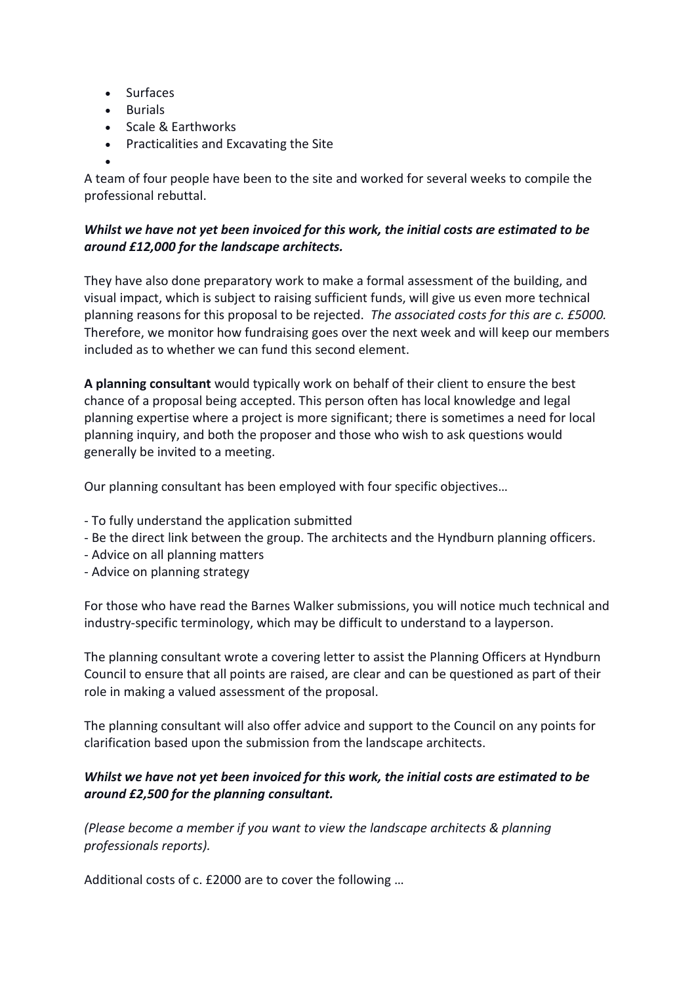- Surfaces
- Burials

•

- Scale & Earthworks
- Practicalities and Excavating the Site

A team of four people have been to the site and worked for several weeks to compile the professional rebuttal.

## *Whilst we have not yet been invoiced for this work, the initial costs are estimated to be around £12,000 for the landscape architects.*

They have also done preparatory work to make a formal assessment of the building, and visual impact, which is subject to raising sufficient funds, will give us even more technical planning reasons for this proposal to be rejected. *The associated costs for this are c. £5000.* Therefore, we monitor how fundraising goes over the next week and will keep our members included as to whether we can fund this second element.

**A planning consultant** would typically work on behalf of their client to ensure the best chance of a proposal being accepted. This person often has local knowledge and legal planning expertise where a project is more significant; there is sometimes a need for local planning inquiry, and both the proposer and those who wish to ask questions would generally be invited to a meeting.

Our planning consultant has been employed with four specific objectives…

- To fully understand the application submitted
- Be the direct link between the group. The architects and the Hyndburn planning officers.
- Advice on all planning matters
- Advice on planning strategy

For those who have read the Barnes Walker submissions, you will notice much technical and industry-specific terminology, which may be difficult to understand to a layperson.

The planning consultant wrote a covering letter to assist the Planning Officers at Hyndburn Council to ensure that all points are raised, are clear and can be questioned as part of their role in making a valued assessment of the proposal.

The planning consultant will also offer advice and support to the Council on any points for clarification based upon the submission from the landscape architects.

## *Whilst we have not yet been invoiced for this work, the initial costs are estimated to be around £2,500 for the planning consultant.*

*(Please become a member if you want to view the landscape architects & planning professionals reports).*

Additional costs of c. £2000 are to cover the following …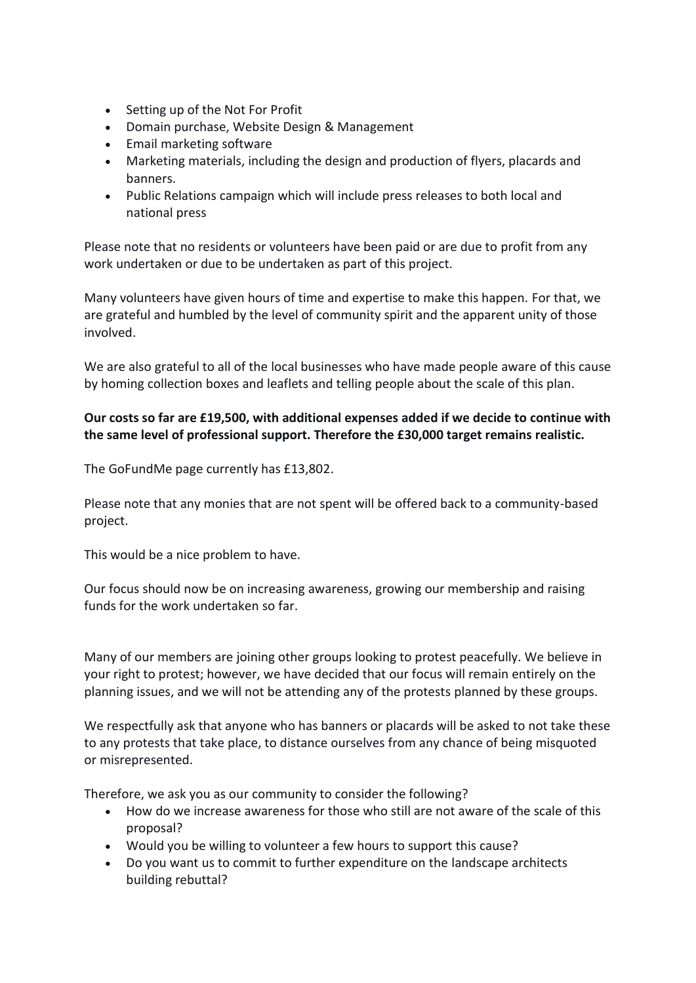- Setting up of the Not For Profit
- Domain purchase, Website Design & Management
- Email marketing software
- Marketing materials, including the design and production of flyers, placards and banners.
- Public Relations campaign which will include press releases to both local and national press

Please note that no residents or volunteers have been paid or are due to profit from any work undertaken or due to be undertaken as part of this project.

Many volunteers have given hours of time and expertise to make this happen. For that, we are grateful and humbled by the level of community spirit and the apparent unity of those involved.

We are also grateful to all of the local businesses who have made people aware of this cause by homing collection boxes and leaflets and telling people about the scale of this plan.

# **Our costs so far are £19,500, with additional expenses added if we decide to continue with the same level of professional support. Therefore the £30,000 target remains realistic.**

The GoFundMe page currently has £13,802.

Please note that any monies that are not spent will be offered back to a community-based project.

This would be a nice problem to have.

Our focus should now be on increasing awareness, growing our membership and raising funds for the work undertaken so far.

Many of our members are joining other groups looking to protest peacefully. We believe in your right to protest; however, we have decided that our focus will remain entirely on the planning issues, and we will not be attending any of the protests planned by these groups.

We respectfully ask that anyone who has banners or placards will be asked to not take these to any protests that take place, to distance ourselves from any chance of being misquoted or misrepresented.

Therefore, we ask you as our community to consider the following?

- How do we increase awareness for those who still are not aware of the scale of this proposal?
- Would you be willing to volunteer a few hours to support this cause?
- Do you want us to commit to further expenditure on the landscape architects building rebuttal?